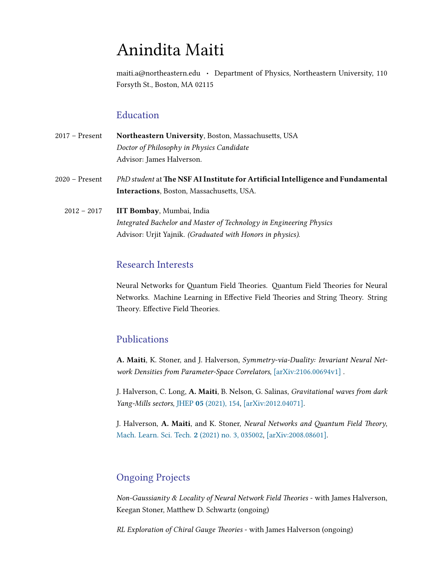# Anindita Maiti

maiti.a@northeastern.edu · Department of Physics, Northeastern University, 110 Forsyth St., Boston, MA 02115

#### Education

| 2017 – Present   | Northeastern University, Boston, Massachusetts, USA                                                                                  |
|------------------|--------------------------------------------------------------------------------------------------------------------------------------|
|                  | Doctor of Philosophy in Physics Candidate                                                                                            |
|                  | Advisor: James Halverson.                                                                                                            |
| $2020$ – Present | PhD student at The NSF AI Institute for Artificial Intelligence and Fundamental<br><b>Interactions</b> , Boston, Massachusetts, USA. |
| $2012 - 2017$    | <b>IIT Bombay, Mumbai, India</b>                                                                                                     |
|                  | Integrated Bachelor and Master of Technology in Engineering Physics                                                                  |
|                  | Advisor: Urjit Yajnik. (Graduated with Honors in physics).                                                                           |

#### Research Interests

Neural Networks for Quantum Field Theories. Quantum Field Theories for Neural Networks. Machine Learning in Effective Field Theories and String Theory. String Theory. Effective Field Theories.

#### Publications

A. Maiti, K. Stoner, and J. Halverson, Symmetry-via-Duality: Invariant Neural Net-work Densities from Parameter-Space Correlators, [\[arXiv:2106.00694v1\]](https://arxiv.org/abs/2106.00694).

J. Halverson, C. Long, A. Maiti, B. Nelson, G. Salinas, Gravitational waves from dark Yang-Mills sectors, JHEP 05 [\(2021\), 154,](https://link.springer.com/article/10.1007/JHEP05(2021)154) [\[arXiv:2012.04071\].](https://arxiv.org/abs/2012.04071)

J. Halverson, A. Maiti, and K. Stoner, Neural Networks and Quantum Field Theory, [Mach. Learn. Sci. Tech.](https://iopscience.iop.org/article/10.1088/2632-2153/abeca3) 2 (2021) no. 3, 035002, [\[arXiv:2008.08601\].](https://arxiv.org/abs/2008.08601)

#### Ongoing Projects

Non-Gaussianity & Locality of Neural Network Field Theories - with James Halverson, Keegan Stoner, Matthew D. Schwartz (ongoing)

RL Exploration of Chiral Gauge Theories - with James Halverson (ongoing)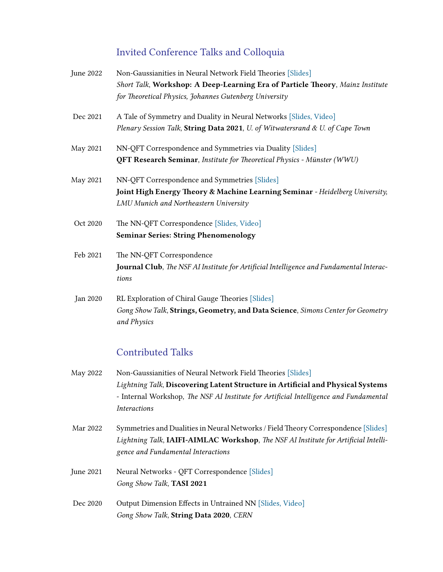## Invited Conference Talks and Colloquia

| June 2022 | Non-Gaussianities in Neural Network Field Theories [Slides]<br>Short Talk, Workshop: A Deep-Learning Era of Particle Theory, Mainz Institute<br>for Theoretical Physics, Johannes Gutenberg University |
|-----------|--------------------------------------------------------------------------------------------------------------------------------------------------------------------------------------------------------|
| Dec 2021  | A Tale of Symmetry and Duality in Neural Networks [Slides, Video]<br>Plenary Session Talk, String Data 2021, U. of Witwatersrand & U. of Cape Town                                                     |
| May 2021  | NN-QFT Correspondence and Symmetries via Duality [Slides]<br>QFT Research Seminar, Institute for Theoretical Physics - Münster (WWU)                                                                   |
| May 2021  | NN-QFT Correspondence and Symmetries [Slides]<br>Joint High Energy Theory & Machine Learning Seminar - Heidelberg University,<br>LMU Munich and Northeastern University                                |
| Oct 2020  | The NN-QFT Correspondence [Slides, Video]<br><b>Seminar Series: String Phenomenology</b>                                                                                                               |
| Feb 2021  | The NN-QFT Correspondence<br>Journal Club, The NSF AI Institute for Artificial Intelligence and Fundamental Interac-<br>tions                                                                          |
| Jan 2020  | RL Exploration of Chiral Gauge Theories [Slides]<br>Gong Show Talk, Strings, Geometry, and Data Science, Simons Center for Geometry<br>and Physics                                                     |

### Contributed Talks

| May 2022  | Non-Gaussianities of Neural Network Field Theories [Slides]                           |  |  |
|-----------|---------------------------------------------------------------------------------------|--|--|
|           | Lightning Talk, Discovering Latent Structure in Artificial and Physical Systems       |  |  |
|           | - Internal Workshop, The NSF AI Institute for Artificial Intelligence and Fundamental |  |  |
|           | <i>Interactions</i>                                                                   |  |  |
| Mar 2022  | Symmetries and Dualities in Neural Networks / Field Theory Correspondence [Slides]    |  |  |
|           | Lightning Talk, IAIFI-AIMLAC Workshop, The NSF AI Institute for Artificial Intelli-   |  |  |
|           | gence and Fundamental Interactions                                                    |  |  |
| June 2021 | Neural Networks - QFT Correspondence [Slides]                                         |  |  |
|           | Gong Show Talk, TASI 2021                                                             |  |  |
| Dec 2020  | Output Dimension Effects in Untrained NN [Slides, Video]                              |  |  |
|           | Gong Show Talk, String Data 2020, CERN                                                |  |  |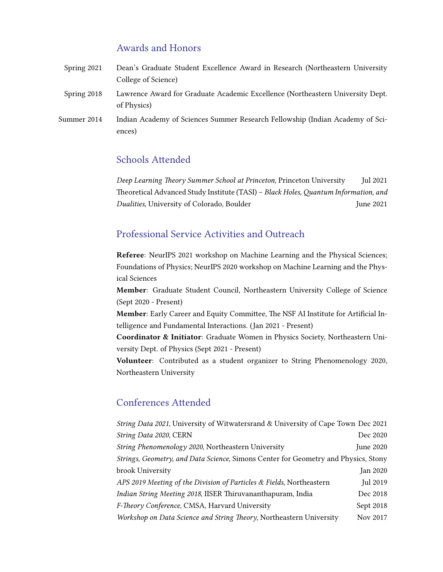#### Awards and Honors

| Spring 2021 | Dean's Graduate Student Excellence Award in Research (Northeastern University                 |
|-------------|-----------------------------------------------------------------------------------------------|
|             | College of Science)                                                                           |
| Spring 2018 | Lawrence Award for Graduate Academic Excellence (Northeastern University Dept.<br>of Physics) |
| Summer 2014 | Indian Academy of Sciences Summer Research Fellowship (Indian Academy of Sci-                 |
|             | ences)                                                                                        |

#### Schools Attended

Deep Learning Theory Summer School at Princeton, Princeton University Jul 2021 Theoretical Advanced Study Institute (TASI) – Black Holes, Quantum Information, and Dualities, University of Colorado, Boulder June 2021

#### Professional Service Activities and Outreach

Referee: NeurIPS 2021 workshop on Machine Learning and the Physical Sciences; Foundations of Physics; NeurIPS 2020 workshop on Machine Learning and the Physical Sciences

Member: Graduate Student Council, Northeastern University College of Science (Sept 2020 - Present)

Member: Early Career and Equity Committee, The NSF AI Institute for Artificial Intelligence and Fundamental Interactions. (Jan 2021 - Present)

Coordinator & Initiator: Graduate Women in Physics Society, Northeastern University Dept. of Physics (Sept 2021 - Present)

Volunteer: Contributed as a student organizer to String Phenomenology 2020, Northeastern University

#### Conferences Attended

| String Data 2021, University of Witwatersrand & University of Cape Town Dec 2021   |           |
|------------------------------------------------------------------------------------|-----------|
| String Data 2020, CERN                                                             | Dec 2020  |
| String Phenomenology 2020, Northeastern University                                 | June 2020 |
| Strings, Geometry, and Data Science, Simons Center for Geometry and Physics, Stony |           |
| brook University                                                                   | Jan 2020  |
| APS 2019 Meeting of the Division of Particles & Fields, Northeastern               | Jul 2019  |
| Indian String Meeting 2018, IISER Thiruvananthapuram, India                        | Dec 2018  |
| F-Theory Conference, CMSA, Harvard University                                      | Sept 2018 |
| Workshop on Data Science and String Theory, Northeastern University                | Nov 2017  |